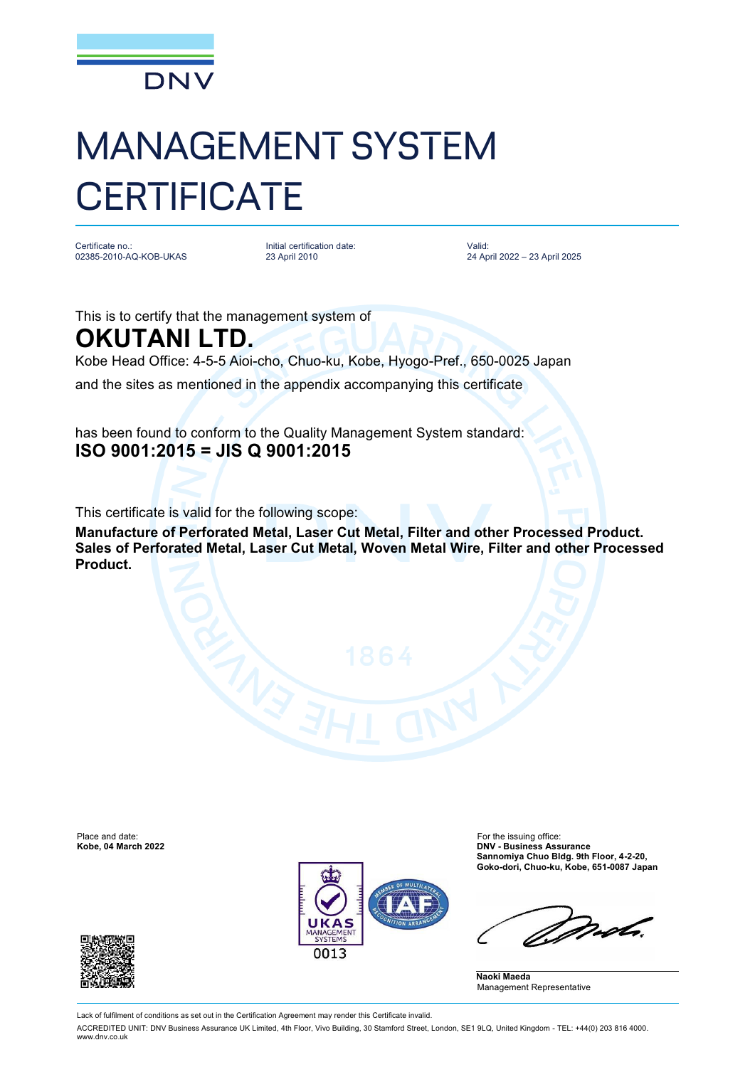

## MANAGEMENT SYSTEM **CERTIFICATE**

Certificate no.: 02385-2010-AQ-KOB-UKAS Initial certification date: 23 April 2010

Valid: 24 April 2022 – 23 April 2025

This is to certify that the management system of

**OKUTANI LTD.**

Kobe Head Office: 4-5-5 Aioi-cho, Chuo-ku, Kobe, Hyogo-Pref., 650-0025 Japan

and the sites as mentioned in the appendix accompanying this certificate

has been found to conform to the Quality Management System standard: **ISO 9001:2015 = JIS Q 9001:2015**

This certificate is valid for the following scope:

**Manufacture of Perforated Metal, Laser Cut Metal, Filter and other Processed Product. Sales of Perforated Metal, Laser Cut Metal, Woven Metal Wire, Filter and other Processed Product.** 

Place and date: The intervention of the issuing office:<br>
For the issuing office:<br> **For the issuing office:** The intervention of the issuing office:<br> **For the issuing office:** The intervention of the intervention of the iss



**Kobe, 04 March 2022 DNV - Business Assurance Sannomiya Chuo Bldg. 9th Floor, 4-2-20, Goko-dori, Chuo-ku, Kobe, 651-0087 Japan**

 $222$ 

**Naoki Maeda** Management Representative



Lack of fulfilment of conditions as set out in the Certification Agreement may render this Certificate invalid.

ACCREDITED UNIT: DNV Business Assurance UK Limited, 4th Floor, Vivo Building, 30 Stamford Street, London, SE1 9LQ, United Kingdom - TEL: +44(0) 203 816 4000. [www.dnv.co.uk](http://www.dnv.co.uk)